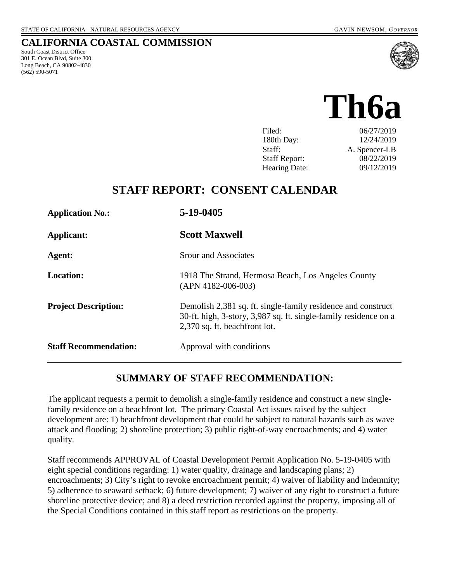South Coast District Office 301 E. Ocean Blvd, Suite 300 Long Beach, CA 90802-4830

(562) 590-5071

**CALIFORNIA COASTAL COMMISSION**

# **Th6a**

| Filed:               | 06/27/2019    |
|----------------------|---------------|
| 180th Day:           | 12/24/2019    |
| Staff:               | A. Spencer-LB |
| <b>Staff Report:</b> | 08/22/2019    |
| <b>Hearing Date:</b> | 09/12/2019    |
|                      |               |

# **STAFF REPORT: CONSENT CALENDAR**

| <b>Application No.:</b>      | 5-19-0405                                                                                                                                                         |
|------------------------------|-------------------------------------------------------------------------------------------------------------------------------------------------------------------|
| Applicant:                   | <b>Scott Maxwell</b>                                                                                                                                              |
| Agent:                       | <b>Srour and Associates</b>                                                                                                                                       |
| <b>Location:</b>             | 1918 The Strand, Hermosa Beach, Los Angeles County<br>$(APN 4182-006-003)$                                                                                        |
| <b>Project Description:</b>  | Demolish 2,381 sq. ft. single-family residence and construct<br>30-ft. high, 3-story, 3,987 sq. ft. single-family residence on a<br>2,370 sq. ft. beachfront lot. |
| <b>Staff Recommendation:</b> | Approval with conditions                                                                                                                                          |

# **SUMMARY OF STAFF RECOMMENDATION:**

The applicant requests a permit to demolish a single-family residence and construct a new singlefamily residence on a beachfront lot. The primary Coastal Act issues raised by the subject development are: 1) beachfront development that could be subject to natural hazards such as wave attack and flooding; 2) shoreline protection; 3) public right-of-way encroachments; and 4) water quality.

Staff recommends APPROVAL of Coastal Development Permit Application No. 5-19-0405 with eight special conditions regarding: 1) water quality, drainage and landscaping plans; 2) encroachments; 3) City's right to revoke encroachment permit; 4) waiver of liability and indemnity; 5) adherence to seaward setback; 6) future development; 7) waiver of any right to construct a future shoreline protective device; and 8) a deed restriction recorded against the property, imposing all of the Special Conditions contained in this staff report as restrictions on the property.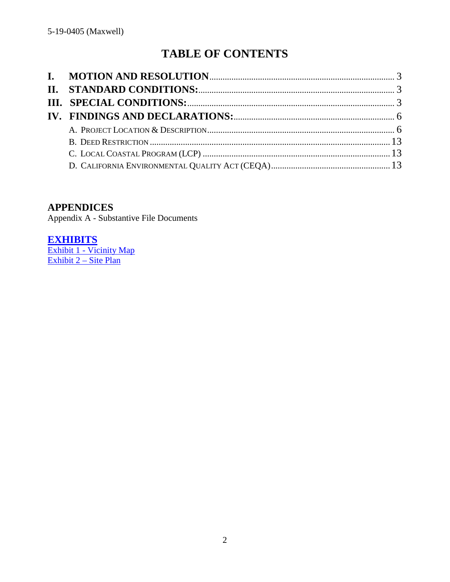# **TABLE OF CONTENTS**

# **APPENDICES**

Appendix A - Substantive File Documents

**[EXHIBITS](https://documents.coastal.ca.gov/reports/2019/9/Th6a/Th6a-9-2019-exhibits.pdf)**

**Exhibit 1 - [Vicinity Map](https://documents.coastal.ca.gov/reports/2019/9/Th6a/Th6a-9-2019-exhibits.pdf)** [Exhibit 2 –](https://documents.coastal.ca.gov/reports/2019/9/Th6a/Th6a-9-2019-exhibits.pdf) Site Plan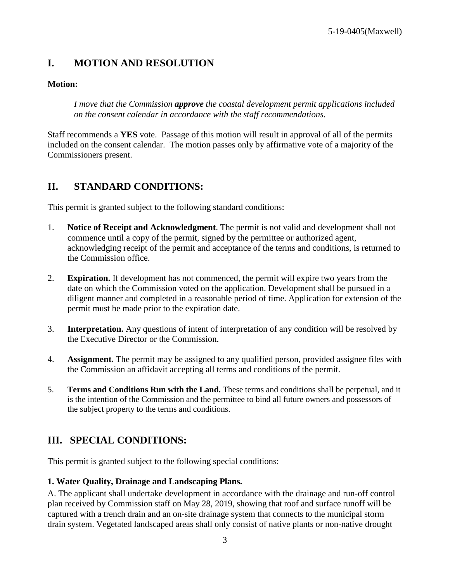# <span id="page-2-0"></span>**I. MOTION AND RESOLUTION**

### **Motion:**

*I move that the Commission approve the coastal development permit applications included on the consent calendar in accordance with the staff recommendations.*

Staff recommends a **YES** vote. Passage of this motion will result in approval of all of the permits included on the consent calendar. The motion passes only by affirmative vote of a majority of the Commissioners present.

# <span id="page-2-1"></span>**II. STANDARD CONDITIONS:**

This permit is granted subject to the following standard conditions:

- 1. **Notice of Receipt and Acknowledgment**. The permit is not valid and development shall not commence until a copy of the permit, signed by the permittee or authorized agent, acknowledging receipt of the permit and acceptance of the terms and conditions, is returned to the Commission office.
- 2. **Expiration.** If development has not commenced, the permit will expire two years from the date on which the Commission voted on the application. Development shall be pursued in a diligent manner and completed in a reasonable period of time. Application for extension of the permit must be made prior to the expiration date.
- 3. **Interpretation.** Any questions of intent of interpretation of any condition will be resolved by the Executive Director or the Commission.
- 4. **Assignment.** The permit may be assigned to any qualified person, provided assignee files with the Commission an affidavit accepting all terms and conditions of the permit.
- 5. **Terms and Conditions Run with the Land.** These terms and conditions shall be perpetual, and it is the intention of the Commission and the permittee to bind all future owners and possessors of the subject property to the terms and conditions.

# <span id="page-2-2"></span>**III. SPECIAL CONDITIONS:**

This permit is granted subject to the following special conditions:

#### **1. Water Quality, Drainage and Landscaping Plans.**

A. The applicant shall undertake development in accordance with the drainage and run-off control plan received by Commission staff on May 28, 2019, showing that roof and surface runoff will be captured with a trench drain and an on-site drainage system that connects to the municipal storm drain system. Vegetated landscaped areas shall only consist of native plants or non-native drought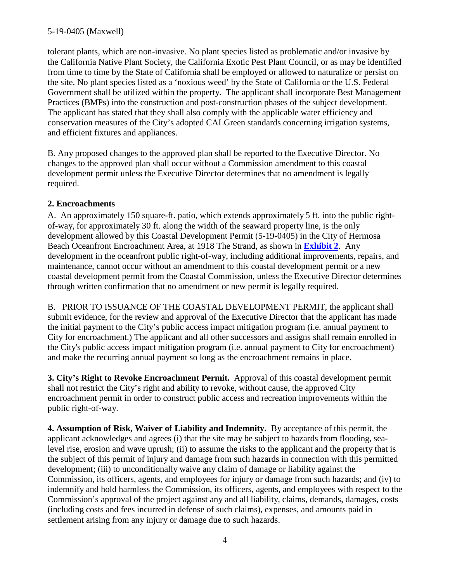tolerant plants, which are non-invasive. No plant species listed as problematic and/or invasive by the California Native Plant Society, the California Exotic Pest Plant Council, or as may be identified from time to time by the State of California shall be employed or allowed to naturalize or persist on the site. No plant species listed as a 'noxious weed' by the State of California or the U.S. Federal Government shall be utilized within the property. The applicant shall incorporate Best Management Practices (BMPs) into the construction and post-construction phases of the subject development. The applicant has stated that they shall also comply with the applicable water efficiency and conservation measures of the City's adopted CALGreen standards concerning irrigation systems, and efficient fixtures and appliances.

B. Any proposed changes to the approved plan shall be reported to the Executive Director. No changes to the approved plan shall occur without a Commission amendment to this coastal development permit unless the Executive Director determines that no amendment is legally required.

### **2. Encroachments**

A. An approximately 150 square-ft. patio, which extends approximately 5 ft. into the public rightof-way, for approximately 30 ft. along the width of the seaward property line, is the only development allowed by this Coastal Development Permit (5-19-0405) in the City of Hermosa Beach Oceanfront Encroachment Area, at 1918 The Strand, as shown in **[Exhibit](https://documents.coastal.ca.gov/reports/2019/9/Th6a/Th6a-9-2019-exhibits.pdf) 2**. Any development in the oceanfront public right-of-way, including additional improvements, repairs, and maintenance, cannot occur without an amendment to this coastal development permit or a new coastal development permit from the Coastal Commission, unless the Executive Director determines through written confirmation that no amendment or new permit is legally required.

B. PRIOR TO ISSUANCE OF THE COASTAL DEVELOPMENT PERMIT, the applicant shall submit evidence, for the review and approval of the Executive Director that the applicant has made the initial payment to the City's public access impact mitigation program (i.e. annual payment to City for encroachment.) The applicant and all other successors and assigns shall remain enrolled in the City's public access impact mitigation program (i.e. annual payment to City for encroachment) and make the recurring annual payment so long as the encroachment remains in place.

**3. City's Right to Revoke Encroachment Permit.** Approval of this coastal development permit shall not restrict the City's right and ability to revoke, without cause, the approved City encroachment permit in order to construct public access and recreation improvements within the public right-of-way.

**4. Assumption of Risk, Waiver of Liability and Indemnity.** By acceptance of this permit, the applicant acknowledges and agrees (i) that the site may be subject to hazards from flooding, sealevel rise, erosion and wave uprush; (ii) to assume the risks to the applicant and the property that is the subject of this permit of injury and damage from such hazards in connection with this permitted development; (iii) to unconditionally waive any claim of damage or liability against the Commission, its officers, agents, and employees for injury or damage from such hazards; and (iv) to indemnify and hold harmless the Commission, its officers, agents, and employees with respect to the Commission's approval of the project against any and all liability, claims, demands, damages, costs (including costs and fees incurred in defense of such claims), expenses, and amounts paid in settlement arising from any injury or damage due to such hazards.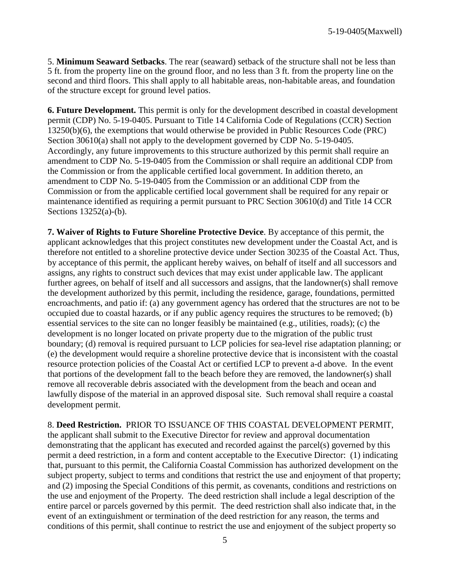5. **Minimum Seaward Setbacks**. The rear (seaward) setback of the structure shall not be less than 5 ft. from the property line on the ground floor, and no less than 3 ft. from the property line on the second and third floors. This shall apply to all habitable areas, non-habitable areas, and foundation of the structure except for ground level patios.

**6. Future Development.** This permit is only for the development described in coastal development permit (CDP) No. 5-19-0405. Pursuant to Title 14 California Code of Regulations (CCR) Section 13250(b)(6), the exemptions that would otherwise be provided in Public Resources Code (PRC) Section 30610(a) shall not apply to the development governed by CDP No. 5-19-0405. Accordingly, any future improvements to this structure authorized by this permit shall require an amendment to CDP No. 5-19-0405 from the Commission or shall require an additional CDP from the Commission or from the applicable certified local government. In addition thereto, an amendment to CDP No. 5-19-0405 from the Commission or an additional CDP from the Commission or from the applicable certified local government shall be required for any repair or maintenance identified as requiring a permit pursuant to PRC Section 30610(d) and Title 14 CCR Sections 13252(a)-(b).

**7. Waiver of Rights to Future Shoreline Protective Device**. By acceptance of this permit, the applicant acknowledges that this project constitutes new development under the Coastal Act, and is therefore not entitled to a shoreline protective device under Section 30235 of the Coastal Act. Thus, by acceptance of this permit, the applicant hereby waives, on behalf of itself and all successors and assigns, any rights to construct such devices that may exist under applicable law. The applicant further agrees, on behalf of itself and all successors and assigns, that the landowner(s) shall remove the development authorized by this permit, including the residence, garage, foundations, permitted encroachments, and patio if: (a) any government agency has ordered that the structures are not to be occupied due to coastal hazards, or if any public agency requires the structures to be removed; (b) essential services to the site can no longer feasibly be maintained (e.g., utilities, roads); (c) the development is no longer located on private property due to the migration of the public trust boundary; (d) removal is required pursuant to LCP policies for sea-level rise adaptation planning; or (e) the development would require a shoreline protective device that is inconsistent with the coastal resource protection policies of the Coastal Act or certified LCP to prevent a-d above. In the event that portions of the development fall to the beach before they are removed, the landowner(s) shall remove all recoverable debris associated with the development from the beach and ocean and lawfully dispose of the material in an approved disposal site. Such removal shall require a coastal development permit.

8. **Deed Restriction.** PRIOR TO ISSUANCE OF THIS COASTAL DEVELOPMENT PERMIT, the applicant shall submit to the Executive Director for review and approval documentation demonstrating that the applicant has executed and recorded against the parcel(s) governed by this permit a deed restriction, in a form and content acceptable to the Executive Director: (1) indicating that, pursuant to this permit, the California Coastal Commission has authorized development on the subject property, subject to terms and conditions that restrict the use and enjoyment of that property; and (2) imposing the Special Conditions of this permit, as covenants, conditions and restrictions on the use and enjoyment of the Property. The deed restriction shall include a legal description of the entire parcel or parcels governed by this permit. The deed restriction shall also indicate that, in the event of an extinguishment or termination of the deed restriction for any reason, the terms and conditions of this permit, shall continue to restrict the use and enjoyment of the subject property so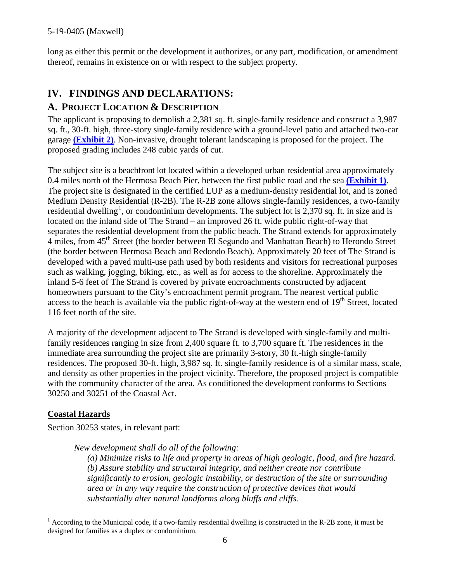long as either this permit or the development it authorizes, or any part, modification, or amendment thereof, remains in existence on or with respect to the subject property.

# <span id="page-5-0"></span>**IV. FINDINGS AND DECLARATIONS:**

## <span id="page-5-1"></span>**A. PROJECT LOCATION & DESCRIPTION**

The applicant is proposing to demolish a 2,381 sq. ft. single-family residence and construct a 3,987 sq. ft., 30-ft. high, three-story single-family residence with a ground-level patio and attached two-car garage **[\(Exhibit](https://documents.coastal.ca.gov/reports/2019/9/Th6a/Th6a-9-2019-exhibits.pdf) 2)**. Non-invasive, drought tolerant landscaping is proposed for the project. The proposed grading includes 248 cubic yards of cut.

The subject site is a beachfront lot located within a developed urban residential area approximately 0.4 miles north of the Hermosa Beach Pier, between the first public road and the sea **[\(Exhibit 1\)](https://documents.coastal.ca.gov/reports/2019/9/Th6a/Th6a-9-2019-exhibits.pdf)**. The project site is designated in the certified LUP as a medium-density residential lot, and is zoned Medium Density Residential (R-2B). The R-2B zone allows single-family residences, a two-family residential dwelling<sup>[1](#page-5-2)</sup>, or condominium developments. The subject lot is 2,370 sq. ft. in size and is located on the inland side of The Strand – an improved 26 ft. wide public right-of-way that separates the residential development from the public beach. The Strand extends for approximately 4 miles, from  $45<sup>th</sup>$  Street (the border between El Segundo and Manhattan Beach) to Herondo Street (the border between Hermosa Beach and Redondo Beach). Approximately 20 feet of The Strand is developed with a paved multi-use path used by both residents and visitors for recreational purposes such as walking, jogging, biking, etc., as well as for access to the shoreline. Approximately the inland 5-6 feet of The Strand is covered by private encroachments constructed by adjacent homeowners pursuant to the City's encroachment permit program. The nearest vertical public access to the beach is available via the public right-of-way at the western end of  $19<sup>th</sup>$  Street, located 116 feet north of the site.

A majority of the development adjacent to The Strand is developed with single-family and multifamily residences ranging in size from 2,400 square ft. to 3,700 square ft. The residences in the immediate area surrounding the project site are primarily 3-story, 30 ft.-high single-family residences. The proposed 30-ft. high, 3,987 sq. ft. single-family residence is of a similar mass, scale, and density as other properties in the project vicinity. Therefore, the proposed project is compatible with the community character of the area. As conditioned the development conforms to Sections 30250 and 30251 of the Coastal Act.

#### **Coastal Hazards**

Section 30253 states, in relevant part:

*New development shall do all of the following:*

*(a) Minimize risks to life and property in areas of high geologic, flood, and fire hazard. (b) Assure stability and structural integrity, and neither create nor contribute significantly to erosion, geologic instability, or destruction of the site or surrounding area or in any way require the construction of protective devices that would substantially alter natural landforms along bluffs and cliffs.*

<span id="page-5-2"></span> $1$  According to the Municipal code, if a two-family residential dwelling is constructed in the R-2B zone, it must be designed for families as a duplex or condominium.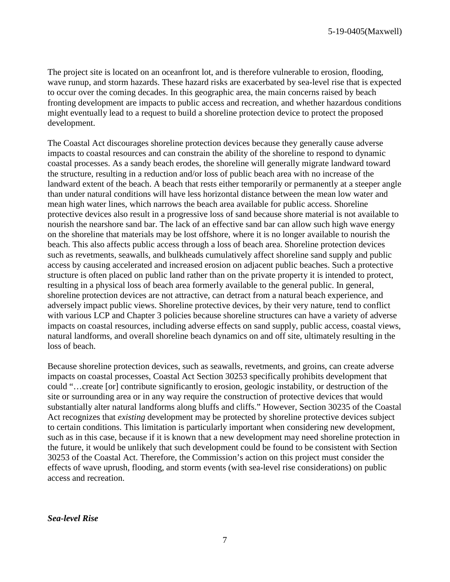The project site is located on an oceanfront lot, and is therefore vulnerable to erosion, flooding, wave runup, and storm hazards. These hazard risks are exacerbated by sea-level rise that is expected to occur over the coming decades. In this geographic area, the main concerns raised by beach fronting development are impacts to public access and recreation, and whether hazardous conditions might eventually lead to a request to build a shoreline protection device to protect the proposed development.

The Coastal Act discourages shoreline protection devices because they generally cause adverse impacts to coastal resources and can constrain the ability of the shoreline to respond to dynamic coastal processes. As a sandy beach erodes, the shoreline will generally migrate landward toward the structure, resulting in a reduction and/or loss of public beach area with no increase of the landward extent of the beach. A beach that rests either temporarily or permanently at a steeper angle than under natural conditions will have less horizontal distance between the mean low water and mean high water lines, which narrows the beach area available for public access. Shoreline protective devices also result in a progressive loss of sand because shore material is not available to nourish the nearshore sand bar. The lack of an effective sand bar can allow such high wave energy on the shoreline that materials may be lost offshore, where it is no longer available to nourish the beach. This also affects public access through a loss of beach area. Shoreline protection devices such as revetments, seawalls, and bulkheads cumulatively affect shoreline sand supply and public access by causing accelerated and increased erosion on adjacent public beaches. Such a protective structure is often placed on public land rather than on the private property it is intended to protect, resulting in a physical loss of beach area formerly available to the general public. In general, shoreline protection devices are not attractive, can detract from a natural beach experience, and adversely impact public views. Shoreline protective devices, by their very nature, tend to conflict with various LCP and Chapter 3 policies because shoreline structures can have a variety of adverse impacts on coastal resources, including adverse effects on sand supply, public access, coastal views, natural landforms, and overall shoreline beach dynamics on and off site, ultimately resulting in the loss of beach.

Because shoreline protection devices, such as seawalls, revetments, and groins, can create adverse impacts on coastal processes, Coastal Act Section 30253 specifically prohibits development that could "…create [or] contribute significantly to erosion, geologic instability, or destruction of the site or surrounding area or in any way require the construction of protective devices that would substantially alter natural landforms along bluffs and cliffs." However, Section 30235 of the Coastal Act recognizes that *existing* development may be protected by shoreline protective devices subject to certain conditions. This limitation is particularly important when considering new development, such as in this case, because if it is known that a new development may need shoreline protection in the future, it would be unlikely that such development could be found to be consistent with Section 30253 of the Coastal Act. Therefore, the Commission's action on this project must consider the effects of wave uprush, flooding, and storm events (with sea-level rise considerations) on public access and recreation.

*Sea-level Rise*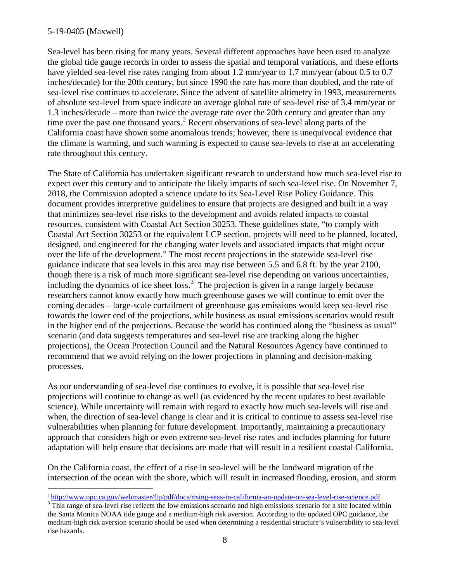Sea-level has been rising for many years. Several different approaches have been used to analyze the global tide gauge records in order to assess the spatial and temporal variations, and these efforts have yielded sea-level rise rates ranging from about 1.2 mm/year to 1.7 mm/year (about 0.5 to 0.7 inches/decade) for the 20th century, but since 1990 the rate has more than doubled, and the rate of sea-level rise continues to accelerate. Since the advent of satellite altimetry in 1993, measurements of absolute sea-level from space indicate an average global rate of sea-level rise of 3.4 mm/year or 1.3 inches/decade – more than twice the average rate over the 20th century and greater than any time over the past one thousand years.<sup>[2](#page-7-0)</sup> Recent observations of sea-level along parts of the California coast have shown some anomalous trends; however, there is unequivocal evidence that the climate is warming, and such warming is expected to cause sea-levels to rise at an accelerating rate throughout this century.

The State of California has undertaken significant research to understand how much sea-level rise to expect over this century and to anticipate the likely impacts of such sea-level rise. On November 7, 2018, the Commission adopted a science update to its Sea-Level Rise Policy Guidance. This document provides interpretive guidelines to ensure that projects are designed and built in a way that minimizes sea-level rise risks to the development and avoids related impacts to coastal resources, consistent with Coastal Act Section 30253. These guidelines state, "to comply with Coastal Act Section 30253 or the equivalent LCP section, projects will need to be planned, located, designed, and engineered for the changing water levels and associated impacts that might occur over the life of the development." The most recent projections in the statewide sea-level rise guidance indicate that sea levels in this area may rise between 5.5 and 6.8 ft. by the year 2100, though there is a risk of much more significant sea-level rise depending on various uncertainties, including the dynamics of ice sheet  $loss<sup>3</sup>$  $loss<sup>3</sup>$  $loss<sup>3</sup>$ . The projection is given in a range largely because researchers cannot know exactly how much greenhouse gases we will continue to emit over the coming decades – large-scale curtailment of greenhouse gas emissions would keep sea-level rise towards the lower end of the projections, while business as usual emissions scenarios would result in the higher end of the projections. Because the world has continued along the "business as usual" scenario (and data suggests temperatures and sea-level rise are tracking along the higher projections), the Ocean Protection Council and the Natural Resources Agency have continued to recommend that we avoid relying on the lower projections in planning and decision-making processes.

As our understanding of sea-level rise continues to evolve, it is possible that sea-level rise projections will continue to change as well (as evidenced by the recent updates to best available science). While uncertainty will remain with regard to exactly how much sea-levels will rise and when, the direction of sea-level change is clear and it is critical to continue to assess sea-level rise vulnerabilities when planning for future development. Importantly, maintaining a precautionary approach that considers high or even extreme sea-level rise rates and includes planning for future adaptation will help ensure that decisions are made that will result in a resilient coastal California.

On the California coast, the effect of a rise in sea-level will be the landward migration of the intersection of the ocean with the shore, which will result in increased flooding, erosion, and storm

<span id="page-7-0"></span> $\frac{2 \text{ http://www.opc.ca.gov/webmaster/ftp/pdf/docs/rising-seas-in-california-an-update-on-sea-level-rise-science.pdf}}{3 \text{ This range of sea-level rise reflects the low emissions scenario and high emissions scenario for a site located within}}$  $\frac{2 \text{ http://www.opc.ca.gov/webmaster/ftp/pdf/docs/rising-seas-in-california-an-update-on-sea-level-rise-science.pdf}}{3 \text{ This range of sea-level rise reflects the low emissions scenario and high emissions scenario for a site located within}}$  $\frac{2 \text{ http://www.opc.ca.gov/webmaster/ftp/pdf/docs/rising-seas-in-california-an-update-on-sea-level-rise-science.pdf}}{3 \text{ This range of sea-level rise reflects the low emissions scenario and high emissions scenario for a site located within}}$ 

<span id="page-7-1"></span>the Santa Monica NOAA tide gauge and a medium-high risk aversion. According to the updated OPC guidance, the medium-high risk aversion scenario should be used when determining a residential structure's vulnerability to sea-level rise hazards.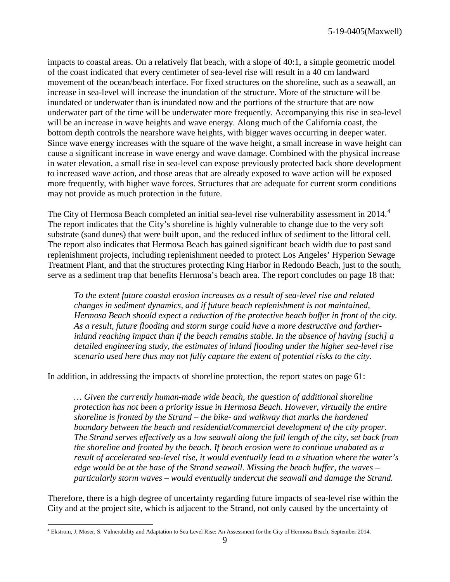impacts to coastal areas. On a relatively flat beach, with a slope of 40:1, a simple geometric model of the coast indicated that every centimeter of sea-level rise will result in a 40 cm landward movement of the ocean/beach interface. For fixed structures on the shoreline, such as a seawall, an increase in sea-level will increase the inundation of the structure. More of the structure will be inundated or underwater than is inundated now and the portions of the structure that are now underwater part of the time will be underwater more frequently. Accompanying this rise in sea-level will be an increase in wave heights and wave energy. Along much of the California coast, the bottom depth controls the nearshore wave heights, with bigger waves occurring in deeper water. Since wave energy increases with the square of the wave height, a small increase in wave height can cause a significant increase in wave energy and wave damage. Combined with the physical increase in water elevation, a small rise in sea-level can expose previously protected back shore development to increased wave action, and those areas that are already exposed to wave action will be exposed more frequently, with higher wave forces. Structures that are adequate for current storm conditions may not provide as much protection in the future.

The City of Hermosa Beach completed an initial sea-level rise vulnerability assessment in 201[4](#page-8-0).<sup>4</sup> The report indicates that the City's shoreline is highly vulnerable to change due to the very soft substrate (sand dunes) that were built upon, and the reduced influx of sediment to the littoral cell. The report also indicates that Hermosa Beach has gained significant beach width due to past sand replenishment projects, including replenishment needed to protect Los Angeles' Hyperion Sewage Treatment Plant, and that the structures protecting King Harbor in Redondo Beach, just to the south, serve as a sediment trap that benefits Hermosa's beach area. The report concludes on page 18 that:

*To the extent future coastal erosion increases as a result of sea-level rise and related changes in sediment dynamics, and if future beach replenishment is not maintained, Hermosa Beach should expect a reduction of the protective beach buffer in front of the city. As a result, future flooding and storm surge could have a more destructive and fartherinland reaching impact than if the beach remains stable. In the absence of having [such] a detailed engineering study, the estimates of inland flooding under the higher sea-level rise scenario used here thus may not fully capture the extent of potential risks to the city.*

In addition, in addressing the impacts of shoreline protection, the report states on page 61:

*… Given the currently human-made wide beach, the question of additional shoreline protection has not been a priority issue in Hermosa Beach. However, virtually the entire shoreline is fronted by the Strand – the bike- and walkway that marks the hardened boundary between the beach and residential/commercial development of the city proper. The Strand serves effectively as a low seawall along the full length of the city, set back from the shoreline and fronted by the beach. If beach erosion were to continue unabated as a result of accelerated sea-level rise, it would eventually lead to a situation where the water's edge would be at the base of the Strand seawall. Missing the beach buffer, the waves – particularly storm waves – would eventually undercut the seawall and damage the Strand.*

Therefore, there is a high degree of uncertainty regarding future impacts of sea-level rise within the City and at the project site, which is adjacent to the Strand, not only caused by the uncertainty of

<span id="page-8-0"></span> <sup>4</sup> Ekstrom, J, Moser, S. Vulnerability and Adaptation to Sea Level Rise: An Assessment for the City of Hermosa Beach, September 2014.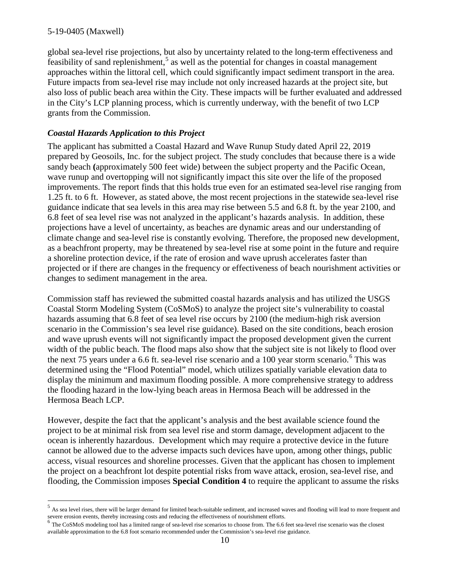global sea-level rise projections, but also by uncertainty related to the long-term effectiveness and  $\frac{1}{2}$  feasibility of sand replenishment,<sup>[5](#page-9-0)</sup> as well as the potential for changes in coastal management approaches within the littoral cell, which could significantly impact sediment transport in the area. Future impacts from sea-level rise may include not only increased hazards at the project site, but also loss of public beach area within the City. These impacts will be further evaluated and addressed in the City's LCP planning process, which is currently underway, with the benefit of two LCP grants from the Commission.

#### *Coastal Hazards Application to this Project*

The applicant has submitted a Coastal Hazard and Wave Runup Study dated April 22, 2019 prepared by Geosoils, Inc. for the subject project. The study concludes that because there is a wide sandy beach **(**approximately 500 feet wide) between the subject property and the Pacific Ocean, wave runup and overtopping will not significantly impact this site over the life of the proposed improvements. The report finds that this holds true even for an estimated sea-level rise ranging from 1.25 ft. to 6 ft. However, as stated above, the most recent projections in the statewide sea-level rise guidance indicate that sea levels in this area may rise between 5.5 and 6.8 ft. by the year 2100, and 6.8 feet of sea level rise was not analyzed in the applicant's hazards analysis. In addition, these projections have a level of uncertainty, as beaches are dynamic areas and our understanding of climate change and sea-level rise is constantly evolving. Therefore, the proposed new development, as a beachfront property, may be threatened by sea-level rise at some point in the future and require a shoreline protection device, if the rate of erosion and wave uprush accelerates faster than projected or if there are changes in the frequency or effectiveness of beach nourishment activities or changes to sediment management in the area.

Commission staff has reviewed the submitted coastal hazards analysis and has utilized the USGS Coastal Storm Modeling System (CoSMoS) to analyze the project site's vulnerability to coastal hazards assuming that 6.8 feet of sea level rise occurs by 2100 (the medium-high risk aversion scenario in the Commission's sea level rise guidance). Based on the site conditions, beach erosion and wave uprush events will not significantly impact the proposed development given the current width of the public beach. The flood maps also show that the subject site is not likely to flood over the next 75 years under a [6](#page-9-1).6 ft. sea-level rise scenario and a 100 year storm scenario.<sup>6</sup> This was determined using the "Flood Potential" model, which utilizes spatially variable elevation data to display the minimum and maximum flooding possible. A more comprehensive strategy to address the flooding hazard in the low-lying beach areas in Hermosa Beach will be addressed in the Hermosa Beach LCP.

However, despite the fact that the applicant's analysis and the best available science found the project to be at minimal risk from sea level rise and storm damage, development adjacent to the ocean is inherently hazardous. Development which may require a protective device in the future cannot be allowed due to the adverse impacts such devices have upon, among other things, public access, visual resources and shoreline processes. Given that the applicant has chosen to implement the project on a beachfront lot despite potential risks from wave attack, erosion, sea-level rise, and flooding, the Commission imposes **Special Condition 4** to require the applicant to assume the risks

<span id="page-9-0"></span> $<sup>5</sup>$  As sea level rises, there will be larger demand for limited beach-suitable sediment, and increased waves and flooding will lead to more frequent and</sup>

<span id="page-9-1"></span>severe erosion events, thereby increasing costs and reducing the effectiveness of nourishment efforts.<br><sup>6</sup> The CoSMoS modeling tool has a limited range of sea-level rise scenarios to choose from. The 6.6 feet sea-level ris available approximation to the 6.8 foot scenario recommended under the Commission's sea-level rise guidance.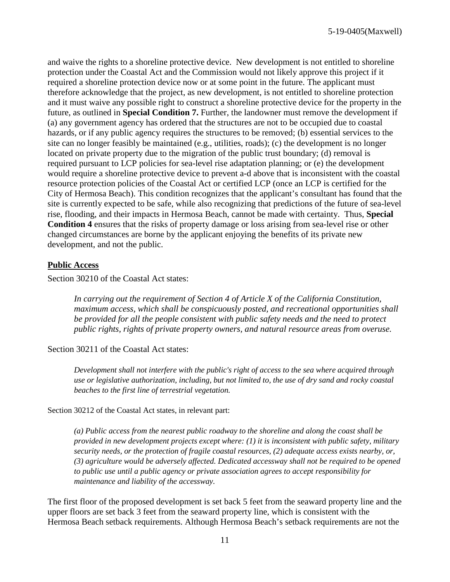and waive the rights to a shoreline protective device. New development is not entitled to shoreline protection under the Coastal Act and the Commission would not likely approve this project if it required a shoreline protection device now or at some point in the future. The applicant must therefore acknowledge that the project, as new development, is not entitled to shoreline protection and it must waive any possible right to construct a shoreline protective device for the property in the future, as outlined in **Special Condition 7.** Further, the landowner must remove the development if (a) any government agency has ordered that the structures are not to be occupied due to coastal hazards, or if any public agency requires the structures to be removed; (b) essential services to the site can no longer feasibly be maintained (e.g., utilities, roads); (c) the development is no longer located on private property due to the migration of the public trust boundary; (d) removal is required pursuant to LCP policies for sea-level rise adaptation planning; or (e) the development would require a shoreline protective device to prevent a-d above that is inconsistent with the coastal resource protection policies of the Coastal Act or certified LCP (once an LCP is certified for the City of Hermosa Beach). This condition recognizes that the applicant's consultant has found that the site is currently expected to be safe, while also recognizing that predictions of the future of sea-level rise, flooding, and their impacts in Hermosa Beach, cannot be made with certainty. Thus, **Special Condition 4** ensures that the risks of property damage or loss arising from sea-level rise or other changed circumstances are borne by the applicant enjoying the benefits of its private new development, and not the public.

#### **Public Access**

Section 30210 of the Coastal Act states:

*In carrying out the requirement of Section 4 of Article X of the California Constitution, maximum access, which shall be conspicuously posted, and recreational opportunities shall be provided for all the people consistent with public safety needs and the need to protect public rights, rights of private property owners, and natural resource areas from overuse.*

#### Section 30211 of the Coastal Act states:

*Development shall not interfere with the public's right of access to the sea where acquired through use or legislative authorization, including, but not limited to, the use of dry sand and rocky coastal beaches to the first line of terrestrial vegetation.*

Section 30212 of the Coastal Act states, in relevant part:

*(a) Public access from the nearest public roadway to the shoreline and along the coast shall be provided in new development projects except where: (1) it is inconsistent with public safety, military security needs, or the protection of fragile coastal resources, (2) adequate access exists nearby, or, (3) agriculture would be adversely affected. Dedicated accessway shall not be required to be opened to public use until a public agency or private association agrees to accept responsibility for maintenance and liability of the accessway.*

The first floor of the proposed development is set back 5 feet from the seaward property line and the upper floors are set back 3 feet from the seaward property line, which is consistent with the Hermosa Beach setback requirements. Although Hermosa Beach's setback requirements are not the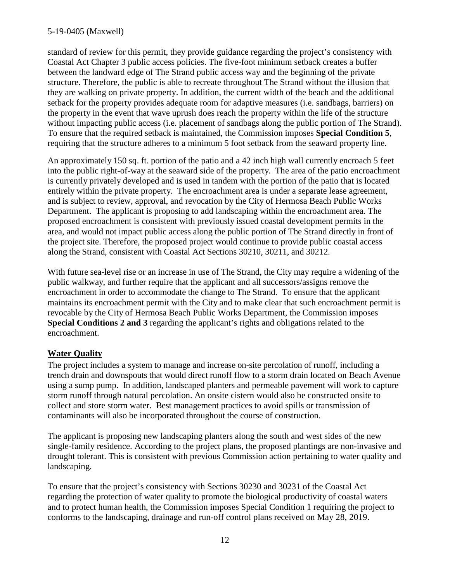standard of review for this permit, they provide guidance regarding the project's consistency with Coastal Act Chapter 3 public access policies. The five-foot minimum setback creates a buffer between the landward edge of The Strand public access way and the beginning of the private structure. Therefore, the public is able to recreate throughout The Strand without the illusion that they are walking on private property. In addition, the current width of the beach and the additional setback for the property provides adequate room for adaptive measures (i.e. sandbags, barriers) on the property in the event that wave uprush does reach the property within the life of the structure without impacting public access (i.e. placement of sandbags along the public portion of The Strand). To ensure that the required setback is maintained, the Commission imposes **Special Condition 5**, requiring that the structure adheres to a minimum 5 foot setback from the seaward property line.

An approximately 150 sq. ft. portion of the patio and a 42 inch high wall currently encroach 5 feet into the public right-of-way at the seaward side of the property. The area of the patio encroachment is currently privately developed and is used in tandem with the portion of the patio that is located entirely within the private property. The encroachment area is under a separate lease agreement, and is subject to review, approval, and revocation by the City of Hermosa Beach Public Works Department. The applicant is proposing to add landscaping within the encroachment area. The proposed encroachment is consistent with previously issued coastal development permits in the area, and would not impact public access along the public portion of The Strand directly in front of the project site. Therefore, the proposed project would continue to provide public coastal access along the Strand, consistent with Coastal Act Sections 30210, 30211, and 30212.

With future sea-level rise or an increase in use of The Strand, the City may require a widening of the public walkway, and further require that the applicant and all successors/assigns remove the encroachment in order to accommodate the change to The Strand. To ensure that the applicant maintains its encroachment permit with the City and to make clear that such encroachment permit is revocable by the City of Hermosa Beach Public Works Department, the Commission imposes **Special Conditions 2 and 3** regarding the applicant's rights and obligations related to the encroachment.

#### **Water Quality**

The project includes a system to manage and increase on-site percolation of runoff, including a trench drain and downspouts that would direct runoff flow to a storm drain located on Beach Avenue using a sump pump. In addition, landscaped planters and permeable pavement will work to capture storm runoff through natural percolation. An onsite cistern would also be constructed onsite to collect and store storm water. Best management practices to avoid spills or transmission of contaminants will also be incorporated throughout the course of construction.

The applicant is proposing new landscaping planters along the south and west sides of the new single-family residence. According to the project plans, the proposed plantings are non-invasive and drought tolerant. This is consistent with previous Commission action pertaining to water quality and landscaping.

To ensure that the project's consistency with Sections 30230 and 30231 of the Coastal Act regarding the protection of water quality to promote the biological productivity of coastal waters and to protect human health, the Commission imposes Special Condition 1 requiring the project to conforms to the landscaping, drainage and run-off control plans received on May 28, 2019.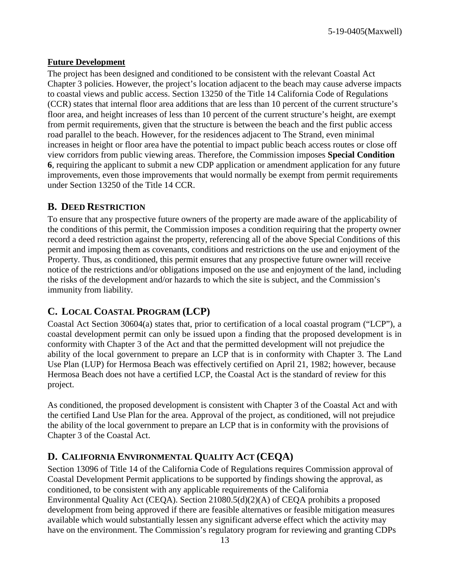#### **Future Development**

The project has been designed and conditioned to be consistent with the relevant Coastal Act Chapter 3 policies. However, the project's location adjacent to the beach may cause adverse impacts to coastal views and public access. Section 13250 of the Title 14 California Code of Regulations (CCR) states that internal floor area additions that are less than 10 percent of the current structure's floor area, and height increases of less than 10 percent of the current structure's height, are exempt from permit requirements, given that the structure is between the beach and the first public access road parallel to the beach. However, for the residences adjacent to The Strand, even minimal increases in height or floor area have the potential to impact public beach access routes or close off view corridors from public viewing areas. Therefore, the Commission imposes **Special Condition 6**, requiring the applicant to submit a new CDP application or amendment application for any future improvements, even those improvements that would normally be exempt from permit requirements under Section 13250 of the Title 14 CCR.

### <span id="page-12-0"></span>**B. DEED RESTRICTION**

To ensure that any prospective future owners of the property are made aware of the applicability of the conditions of this permit, the Commission imposes a condition requiring that the property owner record a deed restriction against the property, referencing all of the above Special Conditions of this permit and imposing them as covenants, conditions and restrictions on the use and enjoyment of the Property. Thus, as conditioned, this permit ensures that any prospective future owner will receive notice of the restrictions and/or obligations imposed on the use and enjoyment of the land, including the risks of the development and/or hazards to which the site is subject, and the Commission's immunity from liability.

# <span id="page-12-1"></span>**C. LOCAL COASTAL PROGRAM (LCP)**

Coastal Act Section 30604(a) states that, prior to certification of a local coastal program ("LCP"), a coastal development permit can only be issued upon a finding that the proposed development is in conformity with Chapter 3 of the Act and that the permitted development will not prejudice the ability of the local government to prepare an LCP that is in conformity with Chapter 3. The Land Use Plan (LUP) for Hermosa Beach was effectively certified on April 21, 1982; however, because Hermosa Beach does not have a certified LCP, the Coastal Act is the standard of review for this project.

As conditioned, the proposed development is consistent with Chapter 3 of the Coastal Act and with the certified Land Use Plan for the area. Approval of the project, as conditioned, will not prejudice the ability of the local government to prepare an LCP that is in conformity with the provisions of Chapter 3 of the Coastal Act.

# <span id="page-12-2"></span>**D. CALIFORNIA ENVIRONMENTAL QUALITY ACT (CEQA)**

Section 13096 of Title 14 of the California Code of Regulations requires Commission approval of Coastal Development Permit applications to be supported by findings showing the approval, as conditioned, to be consistent with any applicable requirements of the California Environmental Quality Act (CEQA). Section 21080.5(d)(2)(A) of CEQA prohibits a proposed development from being approved if there are feasible alternatives or feasible mitigation measures available which would substantially lessen any significant adverse effect which the activity may have on the environment. The Commission's regulatory program for reviewing and granting CDPs